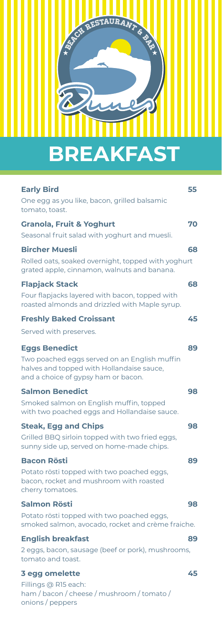

| <b>Early Bird</b>                                                                                                                | 55 |
|----------------------------------------------------------------------------------------------------------------------------------|----|
| One egg as you like, bacon, grilled balsamic<br>tomato, toast.                                                                   |    |
| <b>Granola, Fruit &amp; Yoghurt</b>                                                                                              | 70 |
| Seasonal fruit salad with yoghurt and muesli.                                                                                    |    |
| <b>Bircher Muesli</b>                                                                                                            | 68 |
| Rolled oats, soaked overnight, topped with yoghurt<br>grated apple, cinnamon, walnuts and banana.                                |    |
| <b>Flapjack Stack</b>                                                                                                            | 68 |
| Four flapjacks layered with bacon, topped with<br>roasted almonds and drizzled with Maple syrup.                                 |    |
| <b>Freshly Baked Croissant</b>                                                                                                   | 45 |
| Served with preserves.                                                                                                           |    |
| <b>Eggs Benedict</b>                                                                                                             | 89 |
| Two poached eggs served on an English muffin<br>halves and topped with Hollandaise sauce,<br>and a choice of gypsy ham or bacon. |    |
| <b>Salmon Benedict</b>                                                                                                           | 98 |
| Smoked salmon on English muffin, topped<br>with two poached eggs and Hollandaise sauce.                                          |    |
| <b>Steak, Egg and Chips</b>                                                                                                      | 98 |
| Grilled BBQ sirloin topped with two fried eggs,<br>sunny side up, served on home-made chips.                                     |    |
| <b>Bacon Rösti</b>                                                                                                               | 89 |
| Potato rösti topped with two poached eggs,<br>bacon, rocket and mushroom with roasted<br>cherry tomatoes.                        |    |
| Salmon Rösti                                                                                                                     | 98 |
| Potato rösti topped with two poached eggs,<br>smoked salmon, avocado, rocket and crème fraiche.                                  |    |
| <b>English breakfast</b>                                                                                                         | 89 |
| 2 eggs, bacon, sausage (beef or pork), mushrooms,<br>tomato and toast.                                                           |    |
| 3 egg omelette                                                                                                                   | 45 |
| Fillings @ R15 each:<br>ham / bacon / cheese / mushroom / tomato /<br>onions / peppers                                           |    |